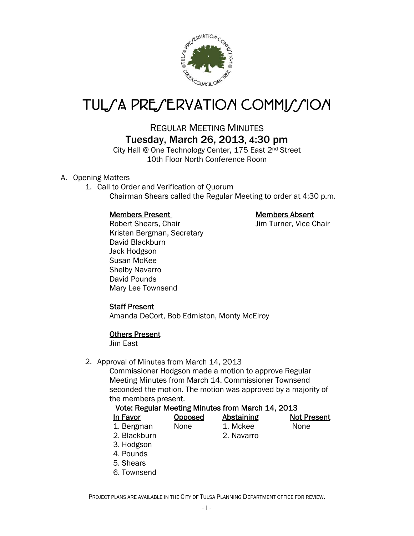

# TUL/A PRE/ERVATION COMMI//ION

# **REGULAR MEETING MINUTES** Tuesday, March 26, 2013, 4:30 pm

City Hall @ One Technology Center, 175 East 2<sup>nd</sup> Street 10th Floor North Conference Room

## A. Opening Matters

1. Call to Order and Verification of Ouorum Chairman Shears called the Regular Meeting to order at 4:30 p.m.

#### **Members Present**

Robert Shears, Chair Kristen Bergman, Secretary David Blackburn Jack Hodgson Susan McKee **Shelby Navarro** David Pounds Mary Lee Townsend

#### **Members Absent**

Jim Turner, Vice Chair

## **Staff Present**

Amanda DeCort, Bob Edmiston, Monty McElroy

#### **Others Present**

Jim East

#### 2. Approval of Minutes from March 14, 2013

Commissioner Hodgson made a motion to approve Regular Meeting Minutes from March 14. Commissioner Townsend seconded the motion. The motion was approved by a majority of the members present.

#### Vote: Regular Meeting Minutes from March 14, 2013

Opposed None

| In Favor   |
|------------|
| 1. Bergman |

Abstaining 1. Mckee 2. Navarro

**None** 

**Not Present** 

- 2. Blackburn
- 3. Hodgson
- 4. Pounds
- 5. Shears
- 6. Townsend

PROJECT PLANS ARE AVAILABLE IN THE CITY OF TULSA PLANNING DEPARTMENT OFFICE FOR REVIEW.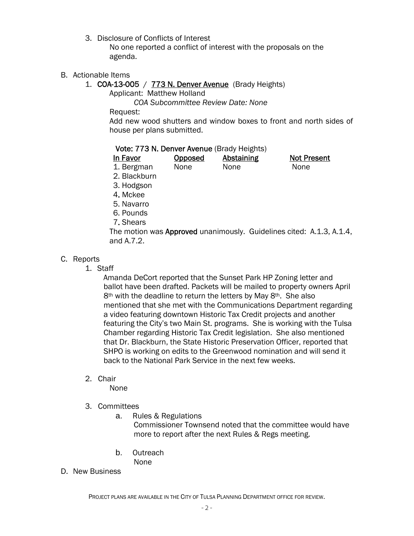3. Disclosure of Conflicts of Interest

 No one reported a conflict of interest with the proposals on the agenda.

- B. Actionable Items
	- 1. **COA-13-005** / **773 N. Denver Avenue** (Brady Heights)

Applicant: Matthew Holland

 *COA Subcommittee Review Date: None* 

Request:

Add new wood shutters and window boxes to front and north sides of house per plans submitted.

|  | Vote: 773 N. Denver Avenue (Brady Heights) |  |
|--|--------------------------------------------|--|
|--|--------------------------------------------|--|

| In Favor     | <b>Opposed</b> | <b>Abstaining</b> | <b>Not Present</b> |
|--------------|----------------|-------------------|--------------------|
| 1. Bergman   | None           | None              | <b>None</b>        |
| 2. Blackburn |                |                   |                    |

3. Hodgson

- 4. Mckee
- 5. Navarro
- 6. Pounds
- 7. Shears

The motion was **Approved** unanimously. Guidelines cited: A.1.3, A.1.4, and A.7.2.

# C. Reports

1. Staff

 Amanda DeCort reported that the Sunset Park HP Zoning letter and ballot have been drafted. Packets will be mailed to property owners April 8<sup>th</sup> with the deadline to return the letters by May 8<sup>th</sup>. She also mentioned that she met with the Communications Department regarding a video featuring downtown Historic Tax Credit projects and another featuring the City's two Main St. programs. She is working with the Tulsa Chamber regarding Historic Tax Credit legislation. She also mentioned that Dr. Blackburn, the State Historic Preservation Officer, reported that SHPO is working on edits to the Greenwood nomination and will send it back to the National Park Service in the next few weeks.

2. Chair

None

- 3. Committees
	- a. Rules & Regulations

Commissioner Townsend noted that the committee would have more to report after the next Rules & Regs meeting.

- b. Outreach None
- D. New Business

PROJECT PLANS ARE AVAILABLE IN THE CITY OF TULSA PLANNING DEPARTMENT OFFICE FOR REVIEW.